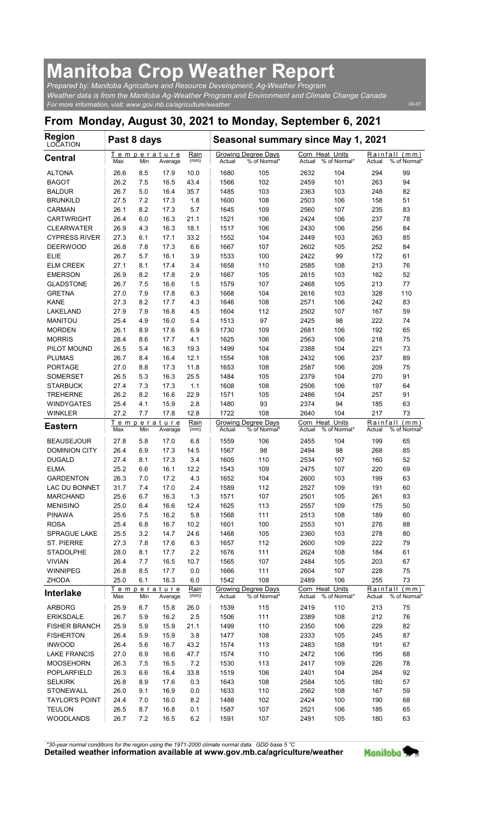## Manitoba Crop Weather Report

| <b>Manitoba Crop Weather Report</b>                                                                                                                                              |              |            |                        |              |                |                                                           |                           |                     |               |                               |
|----------------------------------------------------------------------------------------------------------------------------------------------------------------------------------|--------------|------------|------------------------|--------------|----------------|-----------------------------------------------------------|---------------------------|---------------------|---------------|-------------------------------|
| Prepared by: Manitoba Agriculture and Resource Development, Ag-Weather Program<br>Weather data is from the Manitoba Ag-Weather Program and Environment and Climate Change Canada |              |            |                        |              |                |                                                           |                           |                     |               |                               |
| For more information, visit: www.gov.mb.ca/agriculture/weather                                                                                                                   |              |            |                        |              |                |                                                           |                           |                     |               | 09-07                         |
| From Monday, August 30, 2021 to Monday, September 6, 2021<br><b>Region</b>                                                                                                       | Past 8 days  |            |                        |              |                |                                                           |                           |                     |               |                               |
| LOCATION<br><b>Central</b>                                                                                                                                                       |              |            | <u>Temperature</u>     | Rain         |                | Seasonal summary since May 1, 2021<br>Growing Degree Days | Corn Heat Units           |                     |               | Rainfall (mm)                 |
| <b>ALTONA</b>                                                                                                                                                                    | Max<br>26.6  | Min<br>8.5 | Average<br>17.9        | (mm)<br>10.0 | Actual<br>1680 | % of Normal*<br>105                                       | Actual<br>2632            | % of Normal*<br>104 | Actual<br>294 | % of Normal'<br>99            |
| <b>BAGOT</b>                                                                                                                                                                     | 26.2<br>26.7 | 7.5<br>5.0 | 16.5<br>16.4           | 43.4<br>35.7 | 1566           | 102                                                       | 2459                      | 101                 | 263           | 94                            |
| <b>BALDUR</b><br><b>BRUNKILD</b>                                                                                                                                                 | 27.5         | 7.2        | 17.3                   | 1.8          | 1485<br>1600   | 103<br>108                                                | 2363<br>2503              | 103<br>106          | 248<br>158    | 82<br>51                      |
| <b>CARMAN</b><br><b>CARTWRIGHT</b>                                                                                                                                               | 26.1<br>26.4 | 8.2<br>6.0 | 17.3<br>16.3           | 5.7<br>21.1  | 1645<br>1521   | 109<br>106                                                | 2560<br>2424              | 107<br>106          | 235<br>237    | 83<br>78                      |
| <b>CLEARWATER</b>                                                                                                                                                                | 26.9         | 4.3        | 16.3                   | 18.1         | 1517           | 106                                                       | 2430                      | 106                 | 256           | 84                            |
| <b>CYPRESS RIVER</b><br><b>DEERWOOD</b>                                                                                                                                          | 27.3<br>26.8 | 6.1<br>7.8 | 17.1<br>17.3           | 33.2<br>6.6  | 1552<br>1667   | 104<br>107                                                | 2449<br>2602              | 103<br>105          | 263<br>252    | 85<br>84                      |
| <b>ELIE</b>                                                                                                                                                                      | 26.7         | 5.7        | 16.1                   | 3.9          | 1533           | 100                                                       | 2422                      | 99                  | 172           | 61                            |
| <b>ELM CREEK</b><br><b>EMERSON</b>                                                                                                                                               | 27.1<br>26.9 | 8.1<br>8.2 | 17.4<br>17.8           | 3.4<br>2.9   | 1658<br>1667   | 110<br>105                                                | 2585<br>2615              | 108<br>103          | 213<br>162    | 76<br>52                      |
| <b>GLADSTONE</b>                                                                                                                                                                 | 26.7         | 7.5        | 16.6                   | 1.5          | 1579           | 107                                                       | 2468                      | 105                 | 213           | 77                            |
| <b>GRETNA</b><br>KANE                                                                                                                                                            | 27.0<br>27.3 | 7.9<br>8.2 | 17.8<br>17.7           | 6.3<br>4.3   | 1668<br>1646   | 104<br>108                                                | 2616<br>2571              | 103<br>106          | 328<br>242    | 110<br>83                     |
| LAKELAND                                                                                                                                                                         | 27.9         | 7.9        | 16.8                   | 4.5          | 1604           | 112                                                       | 2502                      | 107                 | 167           | 59                            |
| <b>MANITOU</b><br><b>MORDEN</b>                                                                                                                                                  | 25.4<br>26.1 | 4.9<br>8.9 | 16.0<br>17.6           | 5.4<br>6.9   | 1513<br>1730   | 97<br>109                                                 | 2425<br>2681              | 98<br>106           | 222<br>192    | 74<br>65                      |
| <b>MORRIS</b><br>PILOT MOUND                                                                                                                                                     | 28.4<br>26.5 | 8.6<br>5.4 | 17.7<br>16.3           | 4.1<br>19.3  | 1625<br>1499   | 106<br>104                                                | 2563<br>2388              | 106<br>104          | 218<br>221    | 75<br>73                      |
| <b>PLUMAS</b>                                                                                                                                                                    | 26.7         | 8.4        | 16.4                   | 12.1         | 1554           | 108                                                       | 2432                      | 106                 | 237           | 89                            |
| <b>PORTAGE</b><br><b>SOMERSET</b>                                                                                                                                                | 27.0<br>26.5 | 8.8<br>5.3 | 17.3<br>16.3           | 11.8<br>25.5 | 1653<br>1484   | 108<br>105                                                | 2587<br>2379              | 106<br>104          | 209<br>270    | 75<br>91                      |
| <b>STARBUCK</b>                                                                                                                                                                  | 27.4         | 7.3        | 17.3                   | 1.1          | 1608           | 108                                                       | 2506                      | 106                 | 197           | 64                            |
| <b>TREHERNE</b><br><b>WINDYGATES</b>                                                                                                                                             | 26.2<br>25.4 | 8.2<br>4.1 | 16.6<br>15.9           | 22.9<br>2.8  | 1571<br>1480   | 105<br>93                                                 | 2486<br>2374              | 104<br>94           | 257<br>185    | 91<br>63                      |
| <b>WINKLER</b>                                                                                                                                                                   | 27.2         | 7.7        | 17.8                   | 12.8         | 1722           | 108                                                       | 2640                      | 104                 | 217           | 73                            |
| <b>Eastern</b>                                                                                                                                                                   | Max          | Min        | Temperature<br>Average | Rain<br>(mm) | Actual         | <b>Growing Degree Days</b><br>% of Normal*                | Corn Heat Units<br>Actual | % of Normal*        | Actual        | Rainfall (mm)<br>% of Normal' |
| <b>BEAUSEJOUR</b>                                                                                                                                                                | 27.8         | 5.8        | 17.0                   | 6.8          | 1559<br>1567   | 106                                                       | 2455                      | 104                 | 199           | 65                            |
| <b>DOMINION CITY</b><br><b>DUGALD</b>                                                                                                                                            | 26.4<br>27.4 | 6.9<br>8.1 | 17.3<br>17.3           | 14.5<br>3.4  | 1605           | 98<br>110                                                 | 2494<br>2534              | 98<br>107           | 268<br>160    | 85<br>52                      |
| <b>ELMA</b><br><b>GARDENTON</b>                                                                                                                                                  | 25.2<br>26.3 | 6.6<br>7.0 | 16.1<br>17.2           | 12.2<br>4.3  | 1543<br>1652   | 109<br>104                                                | 2475<br>2600              | 107<br>103          | 220<br>199    | 69<br>63                      |
| LAC DU BONNET                                                                                                                                                                    | 31.7         | 7.4        | 17.0                   | 2.4          | 1589           | 112                                                       | 2527                      | 109                 | 191           | 60                            |
| <b>MARCHAND</b><br><b>MENISINO</b>                                                                                                                                               | 25.6<br>25.0 | 6.7<br>6.4 | 16.3<br>16.6           | 1.3<br>12.4  | 1571<br>1625   | 107<br>113                                                | 2501<br>2557              | 105<br>109          | 261<br>175    | 83<br>50                      |
| <b>PINAWA</b>                                                                                                                                                                    | 25.6         | 7.5        | 16.2                   | 5.8          | 1568           | 111                                                       | 2513                      | 108                 | 189           | 60                            |
| <b>ROSA</b><br>SPRAGUE LAKE                                                                                                                                                      | 25.4<br>25.5 | 6.8<br>3.2 | 16.7<br>14.7           | 10.2<br>24.6 | 1601<br>1468   | 100<br>105                                                | 2553<br>2360              | 101<br>103          | 276<br>278    | 88<br>80                      |
| <b>ST. PIERRE</b>                                                                                                                                                                | 27.3         | 7.8        | 17.6                   | 6.3          | 1657           | 112                                                       | 2600                      | 109                 | 222           | 79                            |
| <b>STADOLPHE</b><br><b>VIVIAN</b>                                                                                                                                                | 28.0<br>26.4 | 8.1<br>7.7 | 17.7<br>16.5           | 2.2<br>10.7  | 1676<br>1565   | 111<br>107                                                | 2624<br>2484              | 108<br>105          | 184<br>203    | 61<br>67                      |
| WINNIPEG                                                                                                                                                                         | 26.8         | 8.5        | 17.7                   | 0.0          | 1666           | 111                                                       | 2604                      | 107                 | 228           | 75                            |
| <b>ZHODA</b><br><b>Interlake</b>                                                                                                                                                 | 25.0         | 6.1        | 16.3<br>Temperature    | 6.0<br>Rain  | 1542           | 108<br>Growing Degree Days                                | 2489<br>Corn Heat Units   | 106                 | 255           | 73<br>Rainfall (mm)           |
| <b>ARBORG</b>                                                                                                                                                                    | Max<br>25.9  | Min<br>6.7 | Average<br>15.8        | (mm)<br>26.0 | Actual<br>1539 | % of Normal*<br>115                                       | Actual<br>2419            | % of Normal*<br>110 | Actual<br>213 | % of Normal'<br>75            |
| <b>ERIKSDALE</b>                                                                                                                                                                 | 26.7         | 5.9        | 16.2                   | 2.5          | 1506           | 111                                                       | 2389                      | 108                 | 212           | 76                            |
| <b>FISHER BRANCH</b><br><b>FISHERTON</b>                                                                                                                                         | 25.9<br>26.4 | 5.9<br>5.9 | 15.9<br>15.9           | 21.1<br>3.8  | 1499<br>1477   | 110<br>108                                                | 2350<br>2333              | 106<br>105          | 229<br>245    | 82<br>87                      |
| <b>INWOOD</b>                                                                                                                                                                    | 26.4         | 5.6        | 16.7                   | 43.2         | 1574           | 113                                                       | 2483                      | 108                 | 191           | 67                            |
| <b>LAKE FRANCIS</b><br><b>MOOSEHORN</b>                                                                                                                                          | 27.0<br>26.3 | 6.9<br>7.5 | 16.6<br>16.5           | 47.7<br>7.2  | 1574<br>1530   | 110<br>113                                                | 2472<br>2417              | 106<br>109          | 195<br>226    | 68<br>78                      |
| POPLARFIELD                                                                                                                                                                      | 26.3         | 6.6        | 16.4                   | 33.8         | 1519           | 106                                                       | 2401                      | 104                 | 264           | 92                            |
| <b>SELKIRK</b><br>STONEWALL                                                                                                                                                      | 26.8<br>26.0 | 8.9<br>9.1 | 17.6<br>16.9           | 0.3<br>0.0   | 1643<br>1633   | 108<br>110                                                | 2584<br>2562              | 105<br>108          | 180<br>167    | 57<br>59                      |
| <b>TAYLOR'S POINT</b><br><b>TEULON</b>                                                                                                                                           | 24.4<br>26.5 | 7.0<br>8.7 | 16.0<br>16.8           | 8.2<br>0.1   | 1488<br>1587   | 102<br>107                                                | 2424<br>2521              | 100<br>106          | 190<br>185    | 68<br>65                      |
| <b>WOODLANDS</b>                                                                                                                                                                 | 26.7         | 7.2        | 16.5                   | 6.2          | 1591           | 107                                                       | 2491                      | 105                 | 180           | 63                            |

Detailed weather information available at www.gov.mb.ca/agriculture/weather Manitoba \*30-year normal conditions for the region using the 1971-2000 climate normal data. GDD base 5 °C